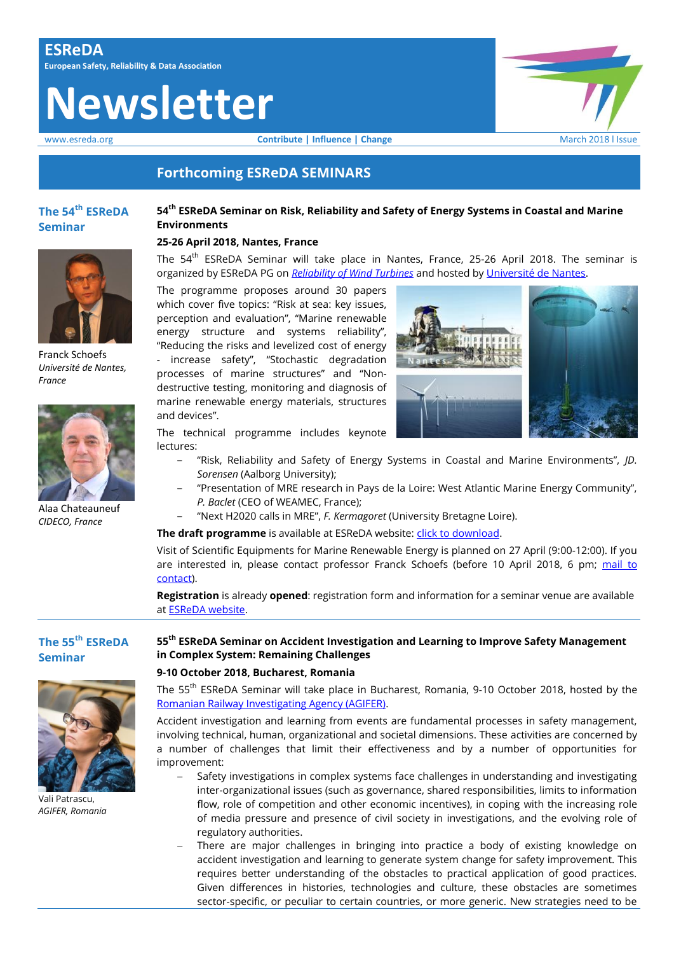# **Newsletter**

www.esreda.org **Contribute | Influence | Change** March 2018 l Issue

# **Forthcoming ESReDA SEMINARS**

# **The 54th ESReDA Seminar**

Franck Schoefs *Université de Nantes,* 

*France*

## **54th ESReDA Seminar on Risk, Reliability and Safety of Energy Systems in Coastal and Marine Environments**

### **25-26 April 2018, Nantes, France**

The 54<sup>th</sup> ESReDA Seminar will take place in Nantes, France, 25-26 April 2018. The seminar is organized by ESReDA PG on *[Reliability of Wind Turbines](https://www.esreda.org/projectcasestudy/reliability-of-wind-turbines/)* and hosted by Univers[ité de Nantes](http://www.univ-nantes.fr/english-version/).

The programme proposes around 30 papers which cover five topics: "Risk at sea: key issues, perception and evaluation", "Marine renewable energy structure and systems reliability", "Reducing the risks and levelized cost of energy - increase safety", "Stochastic degradation processes of marine structures" and "Nondestructive testing, monitoring and diagnosis of marine renewable energy materials, structures and devices".



The technical programme includes keynote lectures:

- ‒ "Risk, Reliability and Safety of Energy Systems in Coastal and Marine Environments", *JD. Sorensen* (Aalborg University);
- ‒ "Presentation of MRE research in Pays de la Loire: West Atlantic Marine Energy Community", *P. Baclet* (CEO of WEAMEC, France);
- ‒ "Next H2020 calls in MRE", *F. Kermagoret* (University Bretagne Loire).

# **The draft programme** is available at ESReDA website: *click to download*.

Visit of Scientific Equipments for Marine Renewable Energy is planned on 27 April (9:00-12:00). If you are interested in, please contact professor Franck Schoefs (before 10 April 2018, 6 pm; mail to [contact\)](mailto:franck.schoefs@univ-nantes.fr).

**Registration** is already **opened**: registration form and information for a seminar venue are available at [ESReDA website.](https://www.esreda.org/event/54th-esreda-seminar/)

# **The 55th ESReDA Seminar**

Alaa Chateauneuf *CIDECO, France*



Vali Patrascu, *AGIFER, Romania*

# **55th ESReDA Seminar on Accident Investigation and Learning to Improve Safety Management in Complex System: Remaining Challenges**

### **9-10 October 2018, Bucharest, Romania**

The 55th ESReDA Seminar will take place in Bucharest, Romania, 9-10 October 2018, hosted by the [Romanian Railway Investigating Agency \(AGIFER\).](http://www.agifer.ro/)

Accident investigation and learning from events are fundamental processes in safety management, involving technical, human, organizational and societal dimensions. These activities are concerned by a number of challenges that limit their effectiveness and by a number of opportunities for improvement:

- Safety investigations in complex systems face challenges in understanding and investigating inter-organizational issues (such as governance, shared responsibilities, limits to information flow, role of competition and other economic incentives), in coping with the increasing role of media pressure and presence of civil society in investigations, and the evolving role of regulatory authorities.
- There are major challenges in bringing into practice a body of existing knowledge on accident investigation and learning to generate system change for safety improvement. This requires better understanding of the obstacles to practical application of good practices. Given differences in histories, technologies and culture, these obstacles are sometimes sector-specific, or peculiar to certain countries, or more generic. New strategies need to be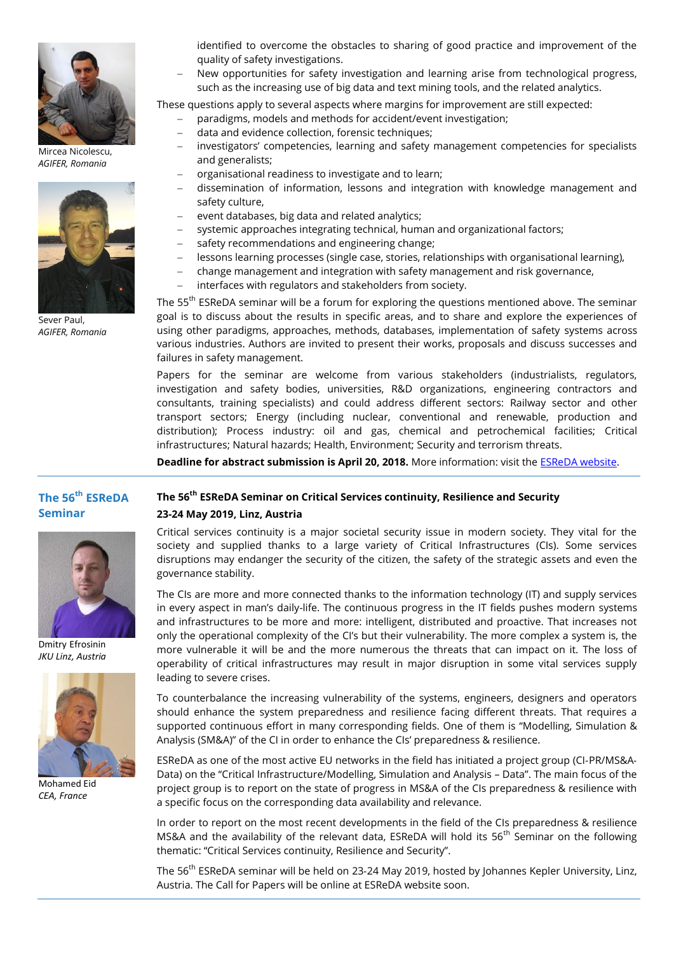

Mircea Nicolescu, *AGIFER, Romania*



Sever Paul, *AGIFER, Romania*

identified to overcome the obstacles to sharing of good practice and improvement of the quality of safety investigations.

 New opportunities for safety investigation and learning arise from technological progress, such as the increasing use of big data and text mining tools, and the related analytics.

These questions apply to several aspects where margins for improvement are still expected:

- paradigms, models and methods for accident/event investigation;
- data and evidence collection, forensic techniques;
- investigators' competencies, learning and safety management competencies for specialists and generalists;
- organisational readiness to investigate and to learn;
- dissemination of information, lessons and integration with knowledge management and safety culture,
- event databases, big data and related analytics;
- systemic approaches integrating technical, human and organizational factors;
- safety recommendations and engineering change;
- lessons learning processes (single case, stories, relationships with organisational learning),
- change management and integration with safety management and risk governance,
	- interfaces with regulators and stakeholders from society.

The 55<sup>th</sup> ESReDA seminar will be a forum for exploring the questions mentioned above. The seminar goal is to discuss about the results in specific areas, and to share and explore the experiences of using other paradigms, approaches, methods, databases, implementation of safety systems across various industries. Authors are invited to present their works, proposals and discuss successes and failures in safety management.

Papers for the seminar are welcome from various stakeholders (industrialists, regulators, investigation and safety bodies, universities, R&D organizations, engineering contractors and consultants, training specialists) and could address different sectors: Railway sector and other transport sectors; Energy (including nuclear, conventional and renewable, production and distribution); Process industry: oil and gas, chemical and petrochemical facilities; Critical infrastructures; Natural hazards; Health, Environment; Security and terrorism threats.

**Deadline for abstract submission is April 20, 2018.** More information: visit the [ESReDA website.](https://www.esreda.org/event/55th-esreda-seminar/)

# **The 56 th ESReDA Seminar**



Dmitry Efrosinin *JKU Linz, Austria*



Mohamed Eid *CEA, France*

# **The 56th ESReDA Seminar on Critical Services continuity, Resilience and Security**

**23-24 May 2019, Linz, Austria**

Critical services continuity is a major societal security issue in modern society. They vital for the society and supplied thanks to a large variety of Critical Infrastructures (CIs). Some services disruptions may endanger the security of the citizen, the safety of the strategic assets and even the governance stability.

The CIs are more and more connected thanks to the information technology (IT) and supply services in every aspect in man's daily-life. The continuous progress in the IT fields pushes modern systems and infrastructures to be more and more: intelligent, distributed and proactive. That increases not only the operational complexity of the CI's but their vulnerability. The more complex a system is, the more vulnerable it will be and the more numerous the threats that can impact on it. The loss of operability of critical infrastructures may result in major disruption in some vital services supply leading to severe crises.

To counterbalance the increasing vulnerability of the systems, engineers, designers and operators should enhance the system preparedness and resilience facing different threats. That requires a supported continuous effort in many corresponding fields. One of them is "Modelling, Simulation & Analysis (SM&A)" of the CI in order to enhance the CIs' preparedness & resilience.

ESReDA as one of the most active EU networks in the field has initiated a project group (CI‐PR/MS&A‐ Data) on the "Critical Infrastructure/Modelling, Simulation and Analysis – Data". The main focus of the project group is to report on the state of progress in MS&A of the CIs preparedness & resilience with a specific focus on the corresponding data availability and relevance.

In order to report on the most recent developments in the field of the CIs preparedness & resilience MS&A and the availability of the relevant data, ESReDA will hold its  $56<sup>th</sup>$  Seminar on the following thematic: "Critical Services continuity, Resilience and Security".

The 56<sup>th</sup> ESReDA seminar will be held on 23-24 May 2019, hosted by Johannes Kepler University, Linz, Austria. The Call for Papers will be online at ESReDA website soon.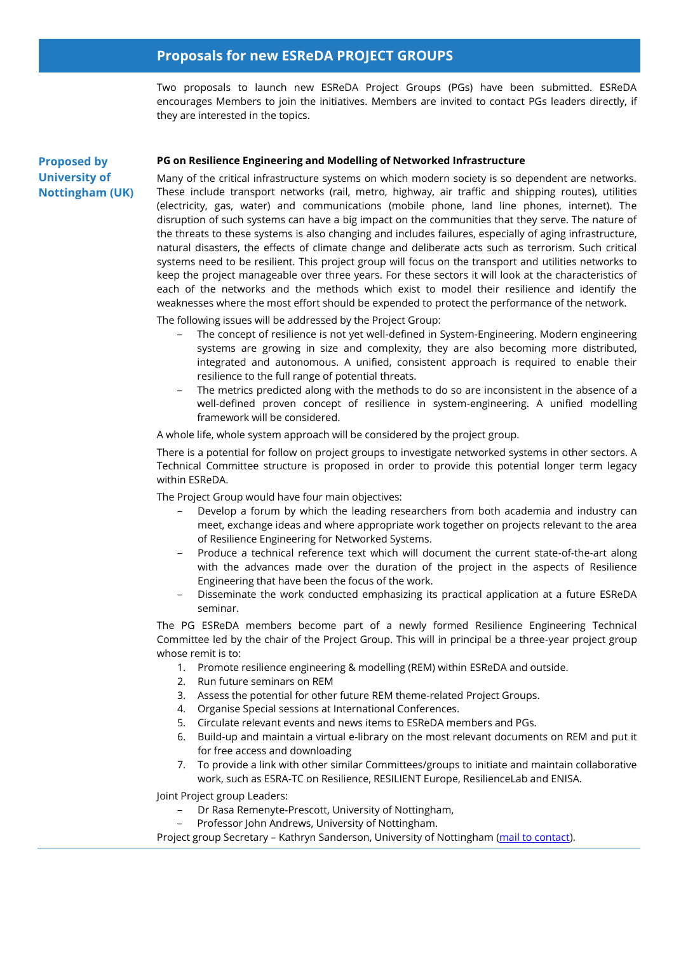# **Proposals for new ESReDA PROJECT GROUPS**

Two proposals to launch new ESReDA Project Groups (PGs) have been submitted. ESReDA encourages Members to join the initiatives. Members are invited to contact PGs leaders directly, if they are interested in the topics.

# **Proposed by University of Nottingham (UK)**

### **PG on Resilience Engineering and Modelling of Networked Infrastructure**

Many of the critical infrastructure systems on which modern society is so dependent are networks. These include transport networks (rail, metro, highway, air traffic and shipping routes), utilities (electricity, gas, water) and communications (mobile phone, land line phones, internet). The disruption of such systems can have a big impact on the communities that they serve. The nature of the threats to these systems is also changing and includes failures, especially of aging infrastructure, natural disasters, the effects of climate change and deliberate acts such as terrorism. Such critical systems need to be resilient. This project group will focus on the transport and utilities networks to keep the project manageable over three years. For these sectors it will look at the characteristics of each of the networks and the methods which exist to model their resilience and identify the weaknesses where the most effort should be expended to protect the performance of the network.

The following issues will be addressed by the Project Group:

- ‒ The concept of resilience is not yet well-defined in System-Engineering. Modern engineering systems are growing in size and complexity, they are also becoming more distributed, integrated and autonomous. A unified, consistent approach is required to enable their resilience to the full range of potential threats.
- ‒ The metrics predicted along with the methods to do so are inconsistent in the absence of a well-defined proven concept of resilience in system-engineering. A unified modelling framework will be considered.

A whole life, whole system approach will be considered by the project group.

There is a potential for follow on project groups to investigate networked systems in other sectors. A Technical Committee structure is proposed in order to provide this potential longer term legacy within ESReDA.

The Project Group would have four main objectives:

- ‒ Develop a forum by which the leading researchers from both academia and industry can meet, exchange ideas and where appropriate work together on projects relevant to the area of Resilience Engineering for Networked Systems.
- ‒ Produce a technical reference text which will document the current state-of-the-art along with the advances made over the duration of the project in the aspects of Resilience Engineering that have been the focus of the work.
- ‒ Disseminate the work conducted emphasizing its practical application at a future ESReDA seminar.

The PG ESReDA members become part of a newly formed Resilience Engineering Technical Committee led by the chair of the Project Group. This will in principal be a three-year project group whose remit is to:

- 1. Promote resilience engineering & modelling (REM) within ESReDA and outside.
- 2. Run future seminars on REM
- 3. Assess the potential for other future REM theme-related Project Groups.
- 4. Organise Special sessions at International Conferences.
- 5. Circulate relevant events and news items to ESReDA members and PGs.
- 6. Build-up and maintain a virtual e-library on the most relevant documents on REM and put it for free access and downloading
- 7. To provide a link with other similar Committees/groups to initiate and maintain collaborative work, such as ESRA-TC on Resilience, RESILIENT Europe, ResilienceLab and ENISA.

Joint Project group Leaders:

- ‒ Dr Rasa Remenyte-Prescott, University of Nottingham,
- ‒ Professor John Andrews, University of Nottingham.

Project group Secretary – Kathryn Sanderson, University of Nottingham [\(mail to contact\)](mailto:Kathryn.Sanderson@nottingham.ac.uk).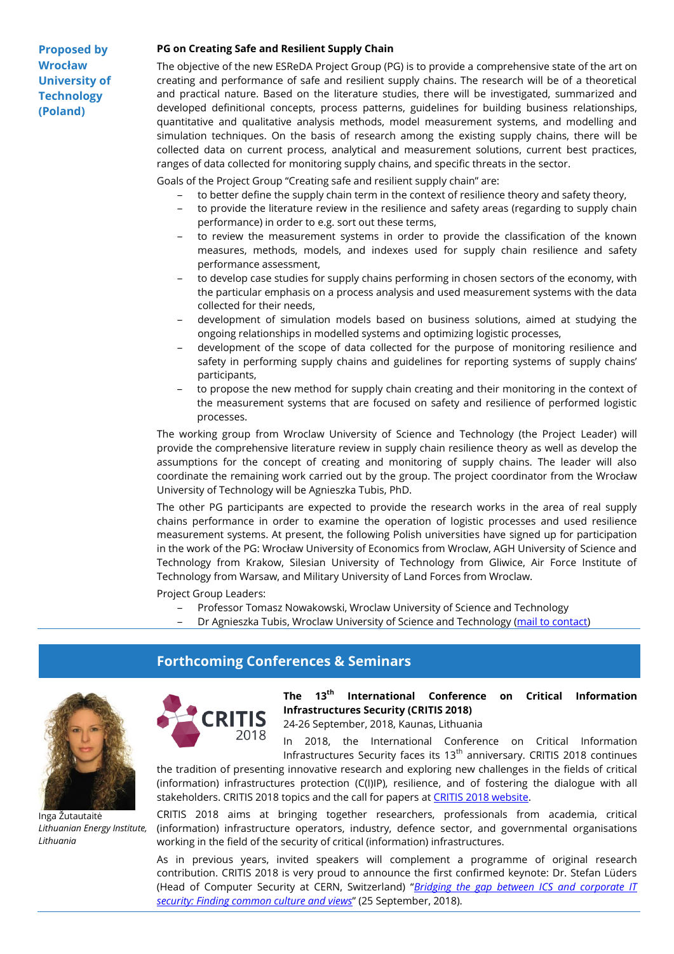**Proposed by Wrocław University of Technology (Poland)**

### **PG on Creating Safe and Resilient Supply Chain**

The objective of the new ESReDA Project Group (PG) is to provide a comprehensive state of the art on creating and performance of safe and resilient supply chains. The research will be of a theoretical and practical nature. Based on the literature studies, there will be investigated, summarized and developed definitional concepts, process patterns, guidelines for building business relationships, quantitative and qualitative analysis methods, model measurement systems, and modelling and simulation techniques. On the basis of research among the existing supply chains, there will be collected data on current process, analytical and measurement solutions, current best practices, ranges of data collected for monitoring supply chains, and specific threats in the sector.

Goals of the Project Group "Creating safe and resilient supply chain" are:

- to better define the supply chain term in the context of resilience theory and safety theory,
- to provide the literature review in the resilience and safety areas (regarding to supply chain performance) in order to e.g. sort out these terms,
- ‒ to review the measurement systems in order to provide the classification of the known measures, methods, models, and indexes used for supply chain resilience and safety performance assessment,
- to develop case studies for supply chains performing in chosen sectors of the economy, with the particular emphasis on a process analysis and used measurement systems with the data collected for their needs,
- ‒ development of simulation models based on business solutions, aimed at studying the ongoing relationships in modelled systems and optimizing logistic processes,
- ‒ development of the scope of data collected for the purpose of monitoring resilience and safety in performing supply chains and guidelines for reporting systems of supply chains' participants,
- to propose the new method for supply chain creating and their monitoring in the context of the measurement systems that are focused on safety and resilience of performed logistic processes.

The working group from Wroclaw University of Science and Technology (the Project Leader) will provide the comprehensive literature review in supply chain resilience theory as well as develop the assumptions for the concept of creating and monitoring of supply chains. The leader will also coordinate the remaining work carried out by the group. The project coordinator from the Wrocław University of Technology will be Agnieszka Tubis, PhD.

The other PG participants are expected to provide the research works in the area of real supply chains performance in order to examine the operation of logistic processes and used resilience measurement systems. At present, the following Polish universities have signed up for participation in the work of the PG: Wrocław University of Economics from Wroclaw, AGH University of Science and Technology from Krakow, Silesian University of Technology from Gliwice, Air Force Institute of Technology from Warsaw, and Military University of Land Forces from Wroclaw.

Project Group Leaders:

- ‒ Professor Tomasz Nowakowski, Wroclaw University of Science and Technology
- Dr Agnieszka Tubis, Wroclaw University of Science and Technology [\(mail to contact\)](mailto:agnieszka.tubis@pwr.edu.pl)

# **Forthcoming Conferences & Seminars**



Inga Žutautaitė *Lithuanian Energy Institute, Lithuania*



**The 13th International Conference on Critical Information Infrastructures Security (CRITIS 2018)**

24-26 September, 2018, Kaunas, Lithuania

In 2018, the International Conference on Critical Information Infrastructures Security faces its  $13<sup>th</sup>$  anniversary. CRITIS 2018 continues

the tradition of presenting innovative research and exploring new challenges in the fields of critical (information) infrastructures protection (C(I)IP), resilience, and of fostering the dialogue with all stakeholders. CRITIS 2018 topics and the call for papers at [CRITIS 2018 website.](http://www.lei.lt/critis2018/call-for-papers.html)

CRITIS 2018 aims at bringing together researchers, professionals from academia, critical (information) infrastructure operators, industry, defence sector, and governmental organisations working in the field of the security of critical (information) infrastructures.

As in previous years, invited speakers will complement a programme of original research contribution. CRITIS 2018 is very proud to announce the first confirmed keynote: Dr. Stefan Lüders (Head of Computer Security at CERN, Switzerland) "*[Bridging the gap between ICS and corporate IT](http://www.lei.lt/critis2018/speakers.html)  [security: Finding common culture and views](http://www.lei.lt/critis2018/speakers.html)*" (25 September, 2018).